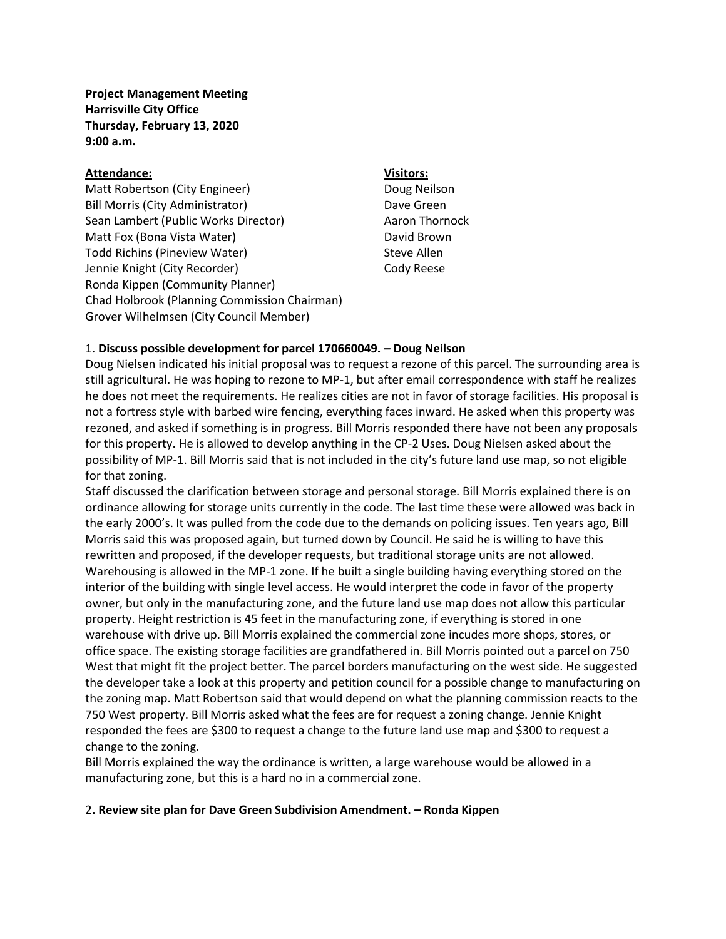**Project Management Meeting Harrisville City Office Thursday, February 13, 2020 9:00 a.m.** 

## **Attendance: Visitors:**

Matt Robertson (City Engineer) Doug Neilson Bill Morris (City Administrator) Dave Green Sean Lambert (Public Works Director) Aaron Thornock Matt Fox (Bona Vista Water) Matt Fox (Bona Vista Water) Todd Richins (Pineview Water) Steve Allen Jennie Knight (City Recorder) Cody Reese Ronda Kippen (Community Planner) Chad Holbrook (Planning Commission Chairman) Grover Wilhelmsen (City Council Member)

# 1. **Discuss possible development for parcel 170660049. – Doug Neilson**

Doug Nielsen indicated his initial proposal was to request a rezone of this parcel. The surrounding area is still agricultural. He was hoping to rezone to MP-1, but after email correspondence with staff he realizes he does not meet the requirements. He realizes cities are not in favor of storage facilities. His proposal is not a fortress style with barbed wire fencing, everything faces inward. He asked when this property was rezoned, and asked if something is in progress. Bill Morris responded there have not been any proposals for this property. He is allowed to develop anything in the CP-2 Uses. Doug Nielsen asked about the possibility of MP-1. Bill Morris said that is not included in the city's future land use map, so not eligible for that zoning.

Staff discussed the clarification between storage and personal storage. Bill Morris explained there is on ordinance allowing for storage units currently in the code. The last time these were allowed was back in the early 2000's. It was pulled from the code due to the demands on policing issues. Ten years ago, Bill Morris said this was proposed again, but turned down by Council. He said he is willing to have this rewritten and proposed, if the developer requests, but traditional storage units are not allowed. Warehousing is allowed in the MP-1 zone. If he built a single building having everything stored on the interior of the building with single level access. He would interpret the code in favor of the property owner, but only in the manufacturing zone, and the future land use map does not allow this particular property. Height restriction is 45 feet in the manufacturing zone, if everything is stored in one warehouse with drive up. Bill Morris explained the commercial zone incudes more shops, stores, or office space. The existing storage facilities are grandfathered in. Bill Morris pointed out a parcel on 750 West that might fit the project better. The parcel borders manufacturing on the west side. He suggested the developer take a look at this property and petition council for a possible change to manufacturing on the zoning map. Matt Robertson said that would depend on what the planning commission reacts to the 750 West property. Bill Morris asked what the fees are for request a zoning change. Jennie Knight responded the fees are \$300 to request a change to the future land use map and \$300 to request a change to the zoning.

Bill Morris explained the way the ordinance is written, a large warehouse would be allowed in a manufacturing zone, but this is a hard no in a commercial zone.

### 2**. Review site plan for Dave Green Subdivision Amendment. – Ronda Kippen**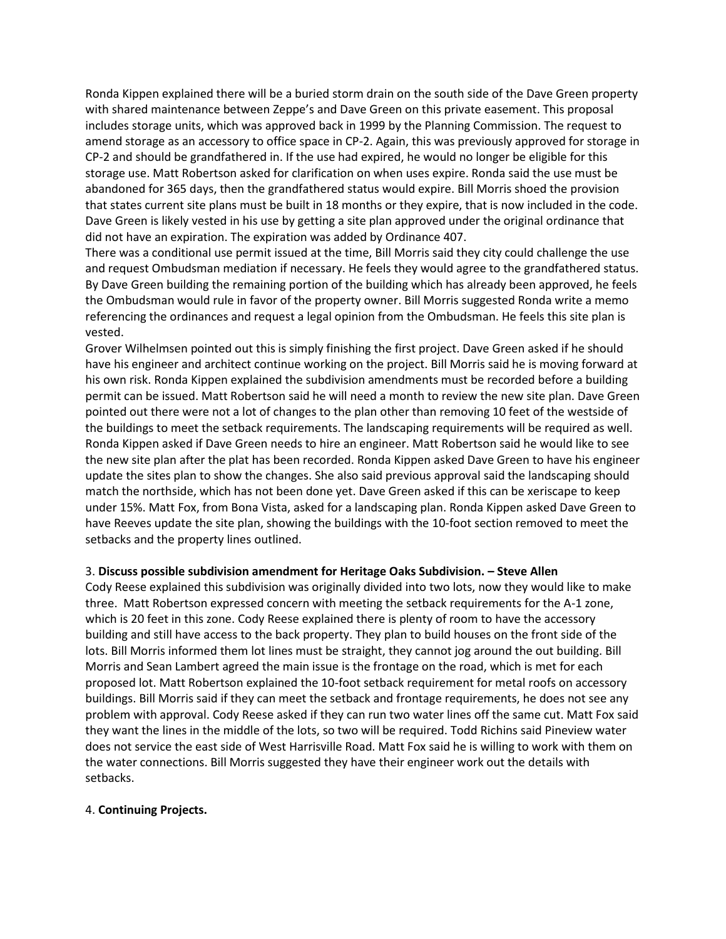Ronda Kippen explained there will be a buried storm drain on the south side of the Dave Green property with shared maintenance between Zeppe's and Dave Green on this private easement. This proposal includes storage units, which was approved back in 1999 by the Planning Commission. The request to amend storage as an accessory to office space in CP-2. Again, this was previously approved for storage in CP-2 and should be grandfathered in. If the use had expired, he would no longer be eligible for this storage use. Matt Robertson asked for clarification on when uses expire. Ronda said the use must be abandoned for 365 days, then the grandfathered status would expire. Bill Morris shoed the provision that states current site plans must be built in 18 months or they expire, that is now included in the code. Dave Green is likely vested in his use by getting a site plan approved under the original ordinance that did not have an expiration. The expiration was added by Ordinance 407.

There was a conditional use permit issued at the time, Bill Morris said they city could challenge the use and request Ombudsman mediation if necessary. He feels they would agree to the grandfathered status. By Dave Green building the remaining portion of the building which has already been approved, he feels the Ombudsman would rule in favor of the property owner. Bill Morris suggested Ronda write a memo referencing the ordinances and request a legal opinion from the Ombudsman. He feels this site plan is vested.

Grover Wilhelmsen pointed out this is simply finishing the first project. Dave Green asked if he should have his engineer and architect continue working on the project. Bill Morris said he is moving forward at his own risk. Ronda Kippen explained the subdivision amendments must be recorded before a building permit can be issued. Matt Robertson said he will need a month to review the new site plan. Dave Green pointed out there were not a lot of changes to the plan other than removing 10 feet of the westside of the buildings to meet the setback requirements. The landscaping requirements will be required as well. Ronda Kippen asked if Dave Green needs to hire an engineer. Matt Robertson said he would like to see the new site plan after the plat has been recorded. Ronda Kippen asked Dave Green to have his engineer update the sites plan to show the changes. She also said previous approval said the landscaping should match the northside, which has not been done yet. Dave Green asked if this can be xeriscape to keep under 15%. Matt Fox, from Bona Vista, asked for a landscaping plan. Ronda Kippen asked Dave Green to have Reeves update the site plan, showing the buildings with the 10-foot section removed to meet the setbacks and the property lines outlined.

# 3. **Discuss possible subdivision amendment for Heritage Oaks Subdivision. – Steve Allen**

Cody Reese explained this subdivision was originally divided into two lots, now they would like to make three. Matt Robertson expressed concern with meeting the setback requirements for the A-1 zone, which is 20 feet in this zone. Cody Reese explained there is plenty of room to have the accessory building and still have access to the back property. They plan to build houses on the front side of the lots. Bill Morris informed them lot lines must be straight, they cannot jog around the out building. Bill Morris and Sean Lambert agreed the main issue is the frontage on the road, which is met for each proposed lot. Matt Robertson explained the 10-foot setback requirement for metal roofs on accessory buildings. Bill Morris said if they can meet the setback and frontage requirements, he does not see any problem with approval. Cody Reese asked if they can run two water lines off the same cut. Matt Fox said they want the lines in the middle of the lots, so two will be required. Todd Richins said Pineview water does not service the east side of West Harrisville Road. Matt Fox said he is willing to work with them on the water connections. Bill Morris suggested they have their engineer work out the details with setbacks.

### 4. **Continuing Projects.**